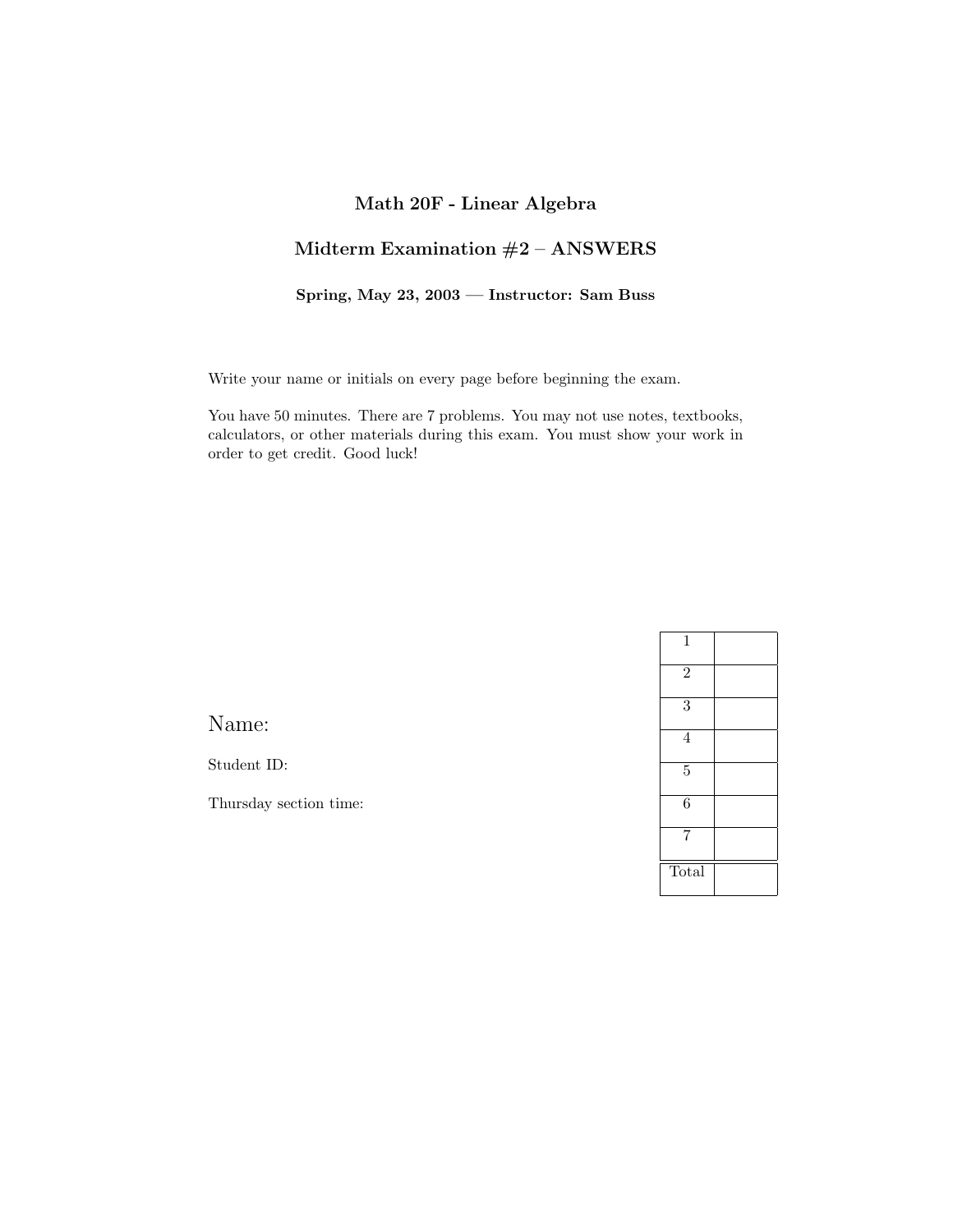## **Math 20F - Linear Algebra**

## **Midterm Examination #2 – ANSWERS**

## **Spring, May 23, 2003 — Instructor: Sam Buss**

Write your name or initials on every page before beginning the exam.

You have 50 minutes. There are 7 problems. You may not use notes, textbooks, calculators, or other materials during this exam. You must show your work in order to get credit. Good luck!

| Name <sup>®</sup> |  |
|-------------------|--|
|-------------------|--|

Student ID:

Thursday section time: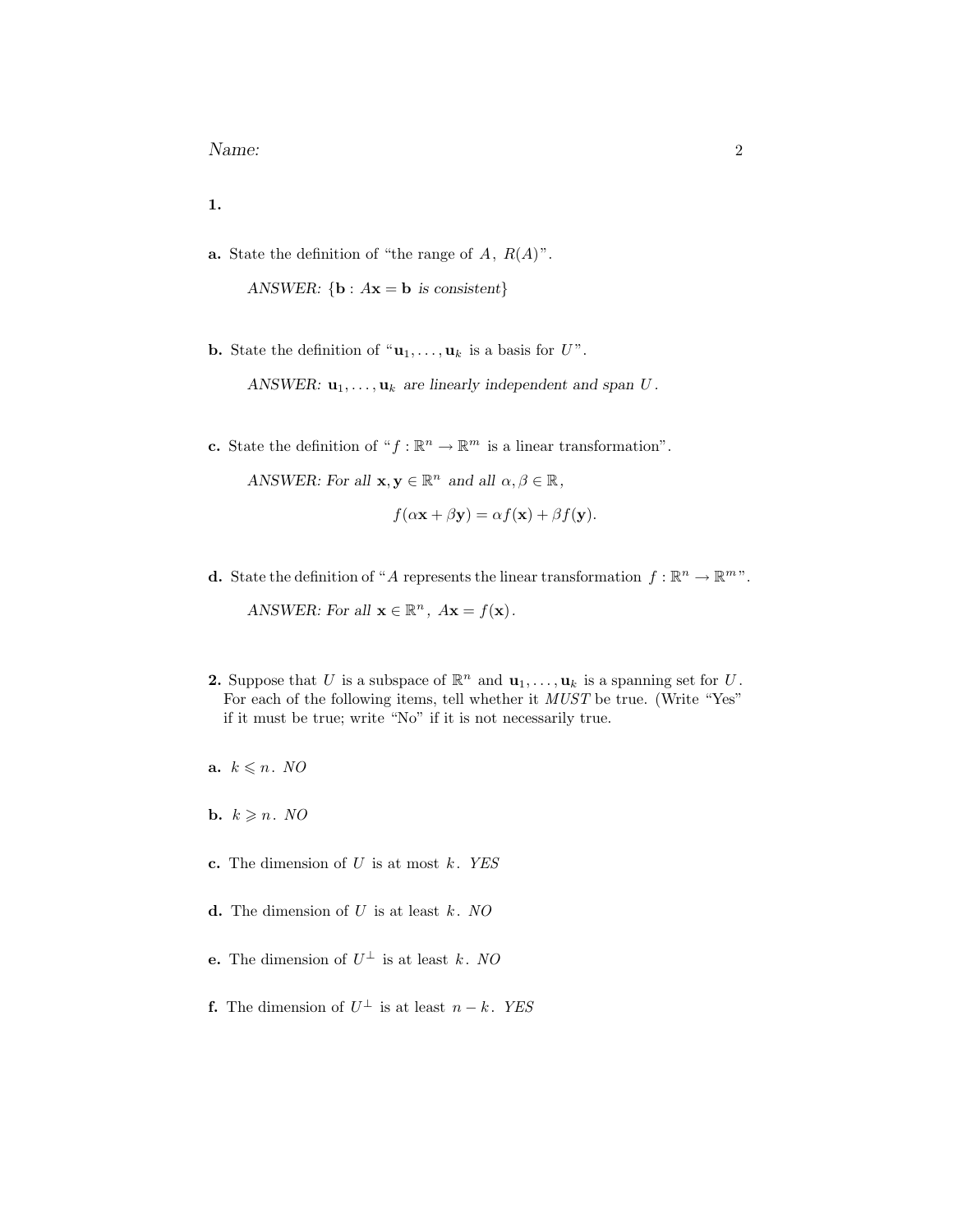**1.**

**a.** State the definition of "the range of  $A$ ,  $R(A)$ ".

*ANSWER:*  $\{b : Ax = b \text{ is consistent}\}$ 

**b.** State the definition of " $\mathbf{u}_1, \ldots, \mathbf{u}_k$  is a basis for  $U$ ".

*ANSWER:*  $\mathbf{u}_1, \ldots, \mathbf{u}_k$  *are linearly independent and span U.* 

**c.** State the definition of " $f : \mathbb{R}^n \to \mathbb{R}^m$  is a linear transformation".

*ANSWER:* For all  $\mathbf{x}, \mathbf{y} \in \mathbb{R}^n$  and all  $\alpha, \beta \in \mathbb{R}$ ,

$$
f(\alpha \mathbf{x} + \beta \mathbf{y}) = \alpha f(\mathbf{x}) + \beta f(\mathbf{y}).
$$

**d.** State the definition of "A represents the linear transformation  $f : \mathbb{R}^n \to \mathbb{R}^{m}$ ".

*ANSWER: For all*  $\mathbf{x} \in \mathbb{R}^n$ *,*  $A\mathbf{x} = f(\mathbf{x})$ *.* 

- **2.** Suppose that U is a subspace of  $\mathbb{R}^n$  and  $\mathbf{u}_1, \ldots, \mathbf{u}_k$  is a spanning set for U. For each of the following items, tell whether it MUST be true. (Write "Yes" if it must be true; write "No" if it is not necessarily true.
- **a.**  $k \leq n$ . NO
- **b.**  $k \geq n$ . NO
- **c.** The dimension of  $U$  is at most  $k$ . YES
- **d.** The dimension of  $U$  is at least  $k$ . NO
- **e.** The dimension of  $U^{\perp}$  is at least k. NO
- **f.** The dimension of  $U^{\perp}$  is at least  $n k$ . YES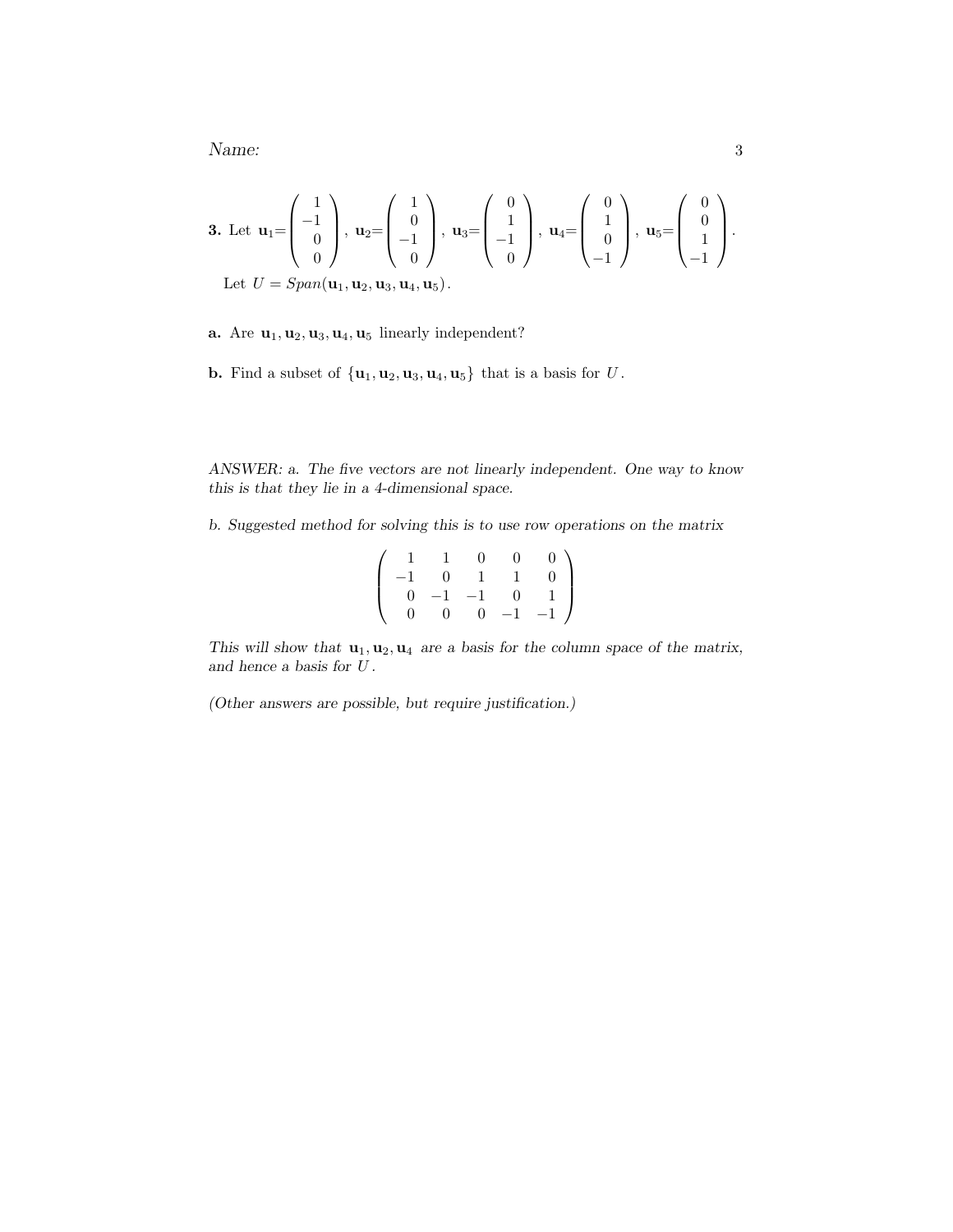Name: 3

**3.** Let 
$$
\mathbf{u}_1 = \begin{pmatrix} 1 \\ -1 \\ 0 \\ 0 \end{pmatrix}
$$
,  $\mathbf{u}_2 = \begin{pmatrix} 1 \\ 0 \\ -1 \\ 0 \end{pmatrix}$ ,  $\mathbf{u}_3 = \begin{pmatrix} 0 \\ 1 \\ -1 \\ 0 \end{pmatrix}$ ,  $\mathbf{u}_4 = \begin{pmatrix} 0 \\ 1 \\ 0 \\ -1 \end{pmatrix}$ ,  $\mathbf{u}_5 = \begin{pmatrix} 0 \\ 0 \\ 1 \\ -1 \end{pmatrix}$ .  
Let  $U = Span(\mathbf{u}_1, \mathbf{u}_2, \mathbf{u}_3, \mathbf{u}_4, \mathbf{u}_5)$ .

**a.** Are  $\mathbf{u}_1, \mathbf{u}_2, \mathbf{u}_3, \mathbf{u}_4, \mathbf{u}_5$  linearly independent?

**b.** Find a subset of  ${\bf u}_1, {\bf u}_2, {\bf u}_3, {\bf u}_4, {\bf u}_5$  that is a basis for  $U$ .

*ANSWER: a. The five vectors are not linearly independent. One way to know this is that they lie in a 4-dimensional space.*

*b. Suggested method for solving this is to use row operations on the matrix*

$$
\left(\begin{array}{cccc}1 & 1 & 0 & 0 & 0\\-1 & 0 & 1 & 1 & 0\\0 & -1 & -1 & 0 & 1\\0 & 0 & 0 & -1 & -1\end{array}\right)
$$

*This will show that*  $\mathbf{u}_1, \mathbf{u}_2, \mathbf{u}_4$  *are a basis for the column space of the matrix, and hence a basis for* U *.*

*(Other answers are possible, but require justification.)*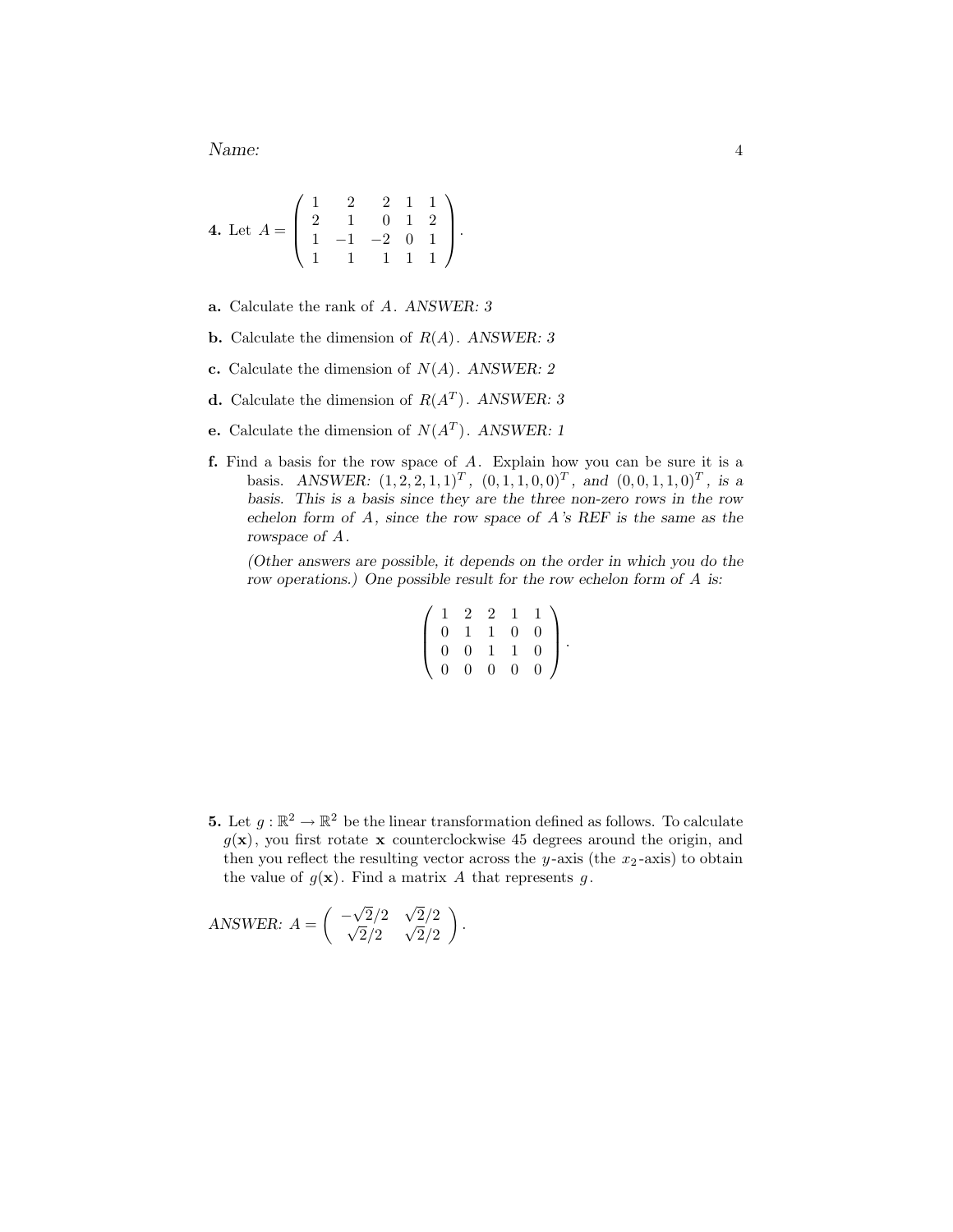Name:  $4\overline{4}$ 

**4.** Let 
$$
A = \begin{pmatrix} 1 & 2 & 2 & 1 & 1 \\ 2 & 1 & 0 & 1 & 2 \\ 1 & -1 & -2 & 0 & 1 \\ 1 & 1 & 1 & 1 & 1 \end{pmatrix}
$$
.

- **a.** Calculate the rank of A. *ANSWER: 3*
- **b.** Calculate the dimension of R(A). *ANSWER: 3*
- **c.** Calculate the dimension of N(A). *ANSWER: 2*
- **d.** Calculate the dimension of  $R(A^T)$ . *ANSWER: 3*
- **e.** Calculate the dimension of  $N(A^T)$ . *ANSWER: 1*
- **f.** Find a basis for the row space of A. Explain how you can be sure it is a basis. *ANSWER:*  $(1, 2, 2, 1, 1)^T$ ,  $(0, 1, 1, 0, 0)^T$ , and  $(0, 0, 1, 1, 0)^T$ , is a *basis. This is a basis since they are the three non-zero rows in the row echelon form of* A*, since the row space of* A*'s REF is the same as the rowspace of* A*.*

*(Other answers are possible, it depends on the order in which you do the row operations.) One possible result for the row echelon form of* A *is:*

$$
\left(\begin{array}{rrrrr} 1 & 2 & 2 & 1 & 1 \\ 0 & 1 & 1 & 0 & 0 \\ 0 & 0 & 1 & 1 & 0 \\ 0 & 0 & 0 & 0 & 0 \end{array}\right).
$$

**5.** Let  $g : \mathbb{R}^2 \to \mathbb{R}^2$  be the linear transformation defined as follows. To calculate  $g(\mathbf{x})$ , you first rotate **x** counterclockwise 45 degrees around the origin, and then you reflect the resulting vector across the y-axis (the  $x_2$ -axis) to obtain the value of  $g(\mathbf{x})$ . Find a matrix A that represents g.

ANSWER: 
$$
A = \begin{pmatrix} -\sqrt{2}/2 & \sqrt{2}/2 \\ \sqrt{2}/2 & \sqrt{2}/2 \end{pmatrix}
$$
.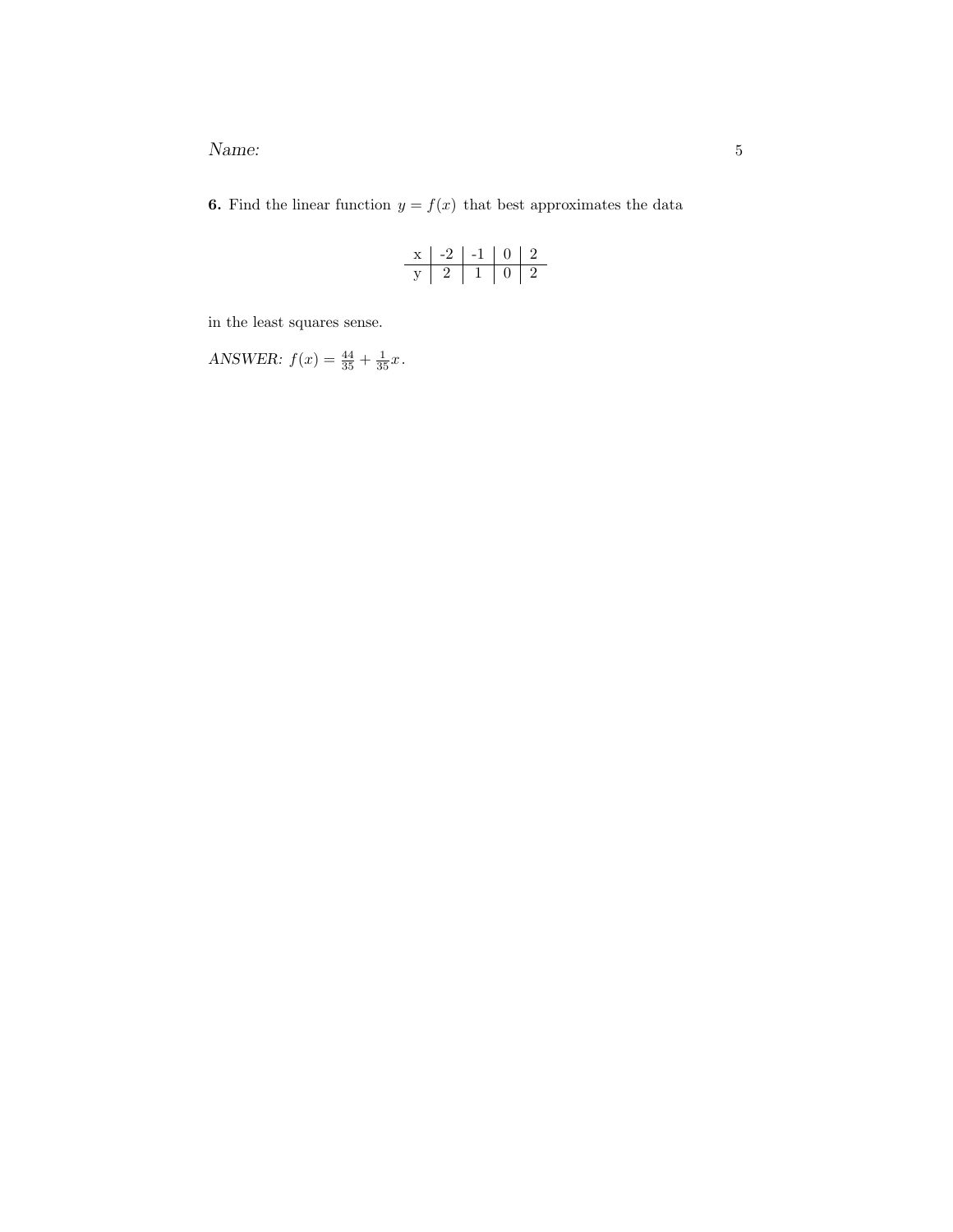## Name: 5

**6.** Find the linear function  $y = f(x)$  that best approximates the data

|  | ٠. | ı |  |
|--|----|---|--|
|  |    |   |  |

in the least squares sense.

*ANSWER:*  $f(x) = \frac{44}{35} + \frac{1}{35}x$ .